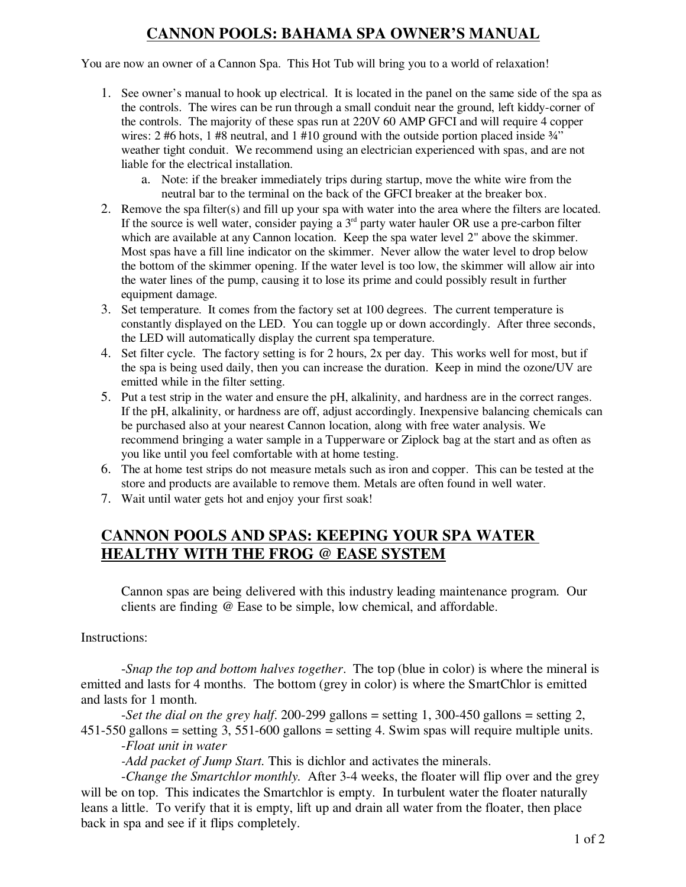# **CANNON POOLS: BAHAMA SPA OWNER'S MANUAL**

You are now an owner of a Cannon Spa. This Hot Tub will bring you to a world of relaxation!

- 1. See owner's manual to hook up electrical. It is located in the panel on the same side of the spa as the controls. The wires can be run through a small conduit near the ground, left kiddy-corner of the controls. The majority of these spas run at 220V 60 AMP GFCI and will require 4 copper wires: 2 #6 hots, 1 #8 neutral, and 1 #10 ground with the outside portion placed inside  $\frac{3}{4}$ " weather tight conduit. We recommend using an electrician experienced with spas, and are not liable for the electrical installation.
	- a. Note: if the breaker immediately trips during startup, move the white wire from the neutral bar to the terminal on the back of the GFCI breaker at the breaker box.
- 2. Remove the spa filter(s) and fill up your spa with water into the area where the filters are located. If the source is well water, consider paying a  $3<sup>rd</sup>$  party water hauler OR use a pre-carbon filter which are available at any Cannon location. Keep the spa water level 2" above the skimmer. Most spas have a fill line indicator on the skimmer. Never allow the water level to drop below the bottom of the skimmer opening. If the water level is too low, the skimmer will allow air into the water lines of the pump, causing it to lose its prime and could possibly result in further equipment damage.
- 3. Set temperature. It comes from the factory set at 100 degrees. The current temperature is constantly displayed on the LED. You can toggle up or down accordingly. After three seconds, the LED will automatically display the current spa temperature.
- 4. Set filter cycle. The factory setting is for 2 hours, 2x per day. This works well for most, but if the spa is being used daily, then you can increase the duration. Keep in mind the ozone/UV are emitted while in the filter setting.
- 5. Put a test strip in the water and ensure the pH, alkalinity, and hardness are in the correct ranges. If the pH, alkalinity, or hardness are off, adjust accordingly. Inexpensive balancing chemicals can be purchased also at your nearest Cannon location, along with free water analysis. We recommend bringing a water sample in a Tupperware or Ziplock bag at the start and as often as you like until you feel comfortable with at home testing.
- 6. The at home test strips do not measure metals such as iron and copper. This can be tested at the store and products are available to remove them. Metals are often found in well water.
- 7. Wait until water gets hot and enjoy your first soak!

## **CANNON POOLS AND SPAS: KEEPING YOUR SPA WATER HEALTHY WITH THE FROG @ EASE SYSTEM**

Cannon spas are being delivered with this industry leading maintenance program. Our clients are finding @ Ease to be simple, low chemical, and affordable.

Instructions:

-*Snap the top and bottom halves together*. The top (blue in color) is where the mineral is emitted and lasts for 4 months. The bottom (grey in color) is where the SmartChlor is emitted and lasts for 1 month.

-*Set the dial on the grey half*. 200-299 gallons = setting 1, 300-450 gallons = setting 2, 451-550 gallons = setting 3, 551-600 gallons = setting 4. Swim spas will require multiple units.

-*Float unit in water*

*-Add packet of Jump Start.* This is dichlor and activates the minerals.

-*Change the Smartchlor monthly.* After 3-4 weeks, the floater will flip over and the grey will be on top. This indicates the Smartchlor is empty. In turbulent water the floater naturally leans a little. To verify that it is empty, lift up and drain all water from the floater, then place back in spa and see if it flips completely.